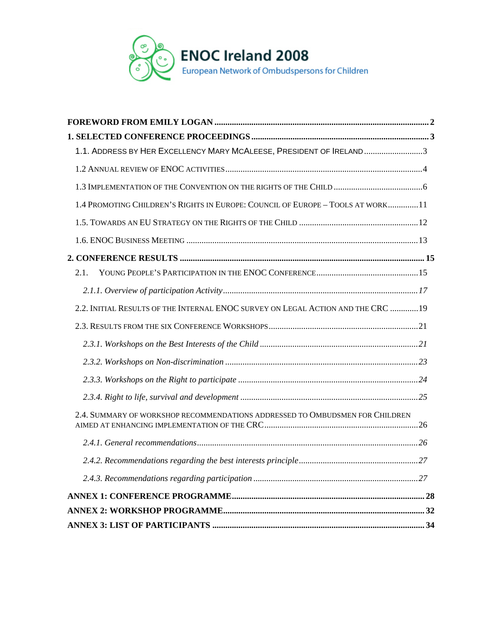

| 1.1. ADDRESS BY HER EXCELLENCY MARY MCALEESE, PRESIDENT OF IRELAND3              |  |
|----------------------------------------------------------------------------------|--|
|                                                                                  |  |
|                                                                                  |  |
| 1.4 PROMOTING CHILDREN'S RIGHTS IN EUROPE: COUNCIL OF EUROPE - TOOLS AT WORK 11  |  |
|                                                                                  |  |
|                                                                                  |  |
|                                                                                  |  |
| 2.1.                                                                             |  |
|                                                                                  |  |
| 2.2. INITIAL RESULTS OF THE INTERNAL ENOC SURVEY ON LEGAL ACTION AND THE CRC  19 |  |
|                                                                                  |  |
|                                                                                  |  |
|                                                                                  |  |
|                                                                                  |  |
|                                                                                  |  |
| 2.4. SUMMARY OF WORKSHOP RECOMMENDATIONS ADDRESSED TO OMBUDSMEN FOR CHILDREN     |  |
|                                                                                  |  |
|                                                                                  |  |
|                                                                                  |  |
|                                                                                  |  |
|                                                                                  |  |
|                                                                                  |  |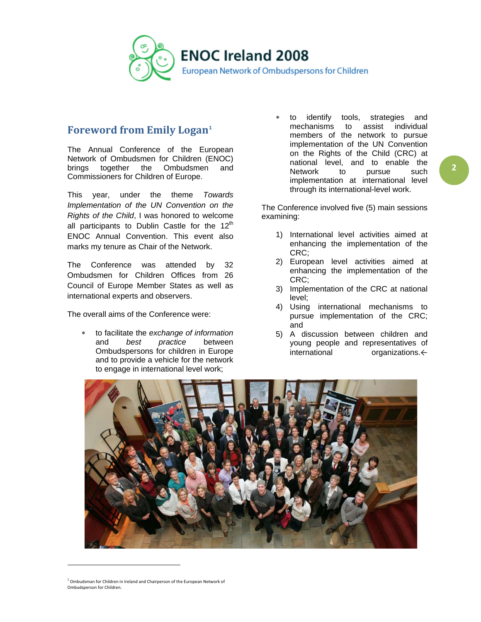

## <span id="page-1-0"></span>**Foreword from Emily Logan[1](#page-1-1)**

The Annual Conference of the European Network of Ombudsmen for Children (ENOC)<br>brings together the Ombudsmen and brings together the Ombudsmen and Commissioners for Children of Europe.

This year, under the theme *Towards Implementation of the UN Convention on the Rights of the Child*, I was honored to welcome all participants to Dublin Castle for the  $12<sup>th</sup>$ ENOC Annual Convention. This event also marks my tenure as Chair of the Network.

The Conference was attended by 32 Ombudsmen for Children Offices from 26 Council of Europe Member States as well as international experts and observers.

The overall aims of the Conference were:

∗ to facilitate the *exchange of information* and *best practice* between Ombudspersons for children in Europe and to provide a vehicle for the network to engage in international level work;

to identify tools, strategies and mechanisms to assist individual members of the network to pursue implementation of the UN Convention on the Rights of the Child (CRC) at national level, and to enable the Network to pursue such implementation at international level through its international-level work.

The Conference involved five (5) main sessions examining:

- 1) International level activities aimed at enhancing the implementation of the CRC;
- 2) European level activities aimed at enhancing the implementation of the CRC;
- 3) Implementation of the CRC at national level;
- 4) Using international mechanisms to pursue implementation of the CRC; and
- 5) A discussion between children and young people and representatives of international organizations.←



 $1$  Ombudsman for Children in Ireland and Chairperson of the European Network of Ombudsperson for Children.

<span id="page-1-1"></span>l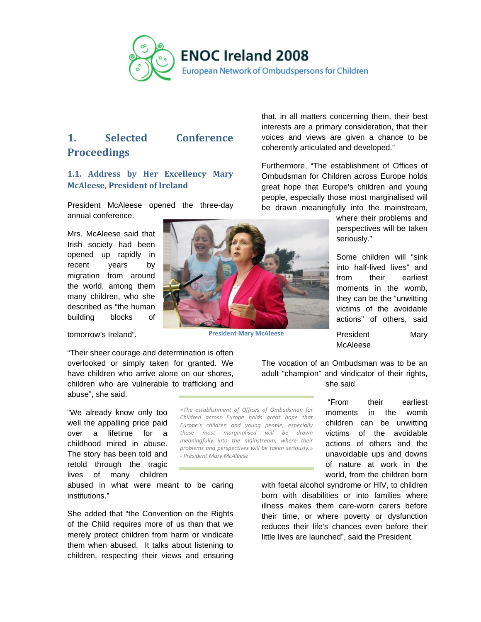

# <span id="page-2-0"></span>**1. Selected Conference Proceedings**

### <span id="page-2-1"></span>**1.1. Address by Her Excellency Mary McAleese, President of Ireland**

President McAleese opened the three-day annual conference.

Mrs. McAleese said that Irish society had been opened up rapidly in recent years by migration from around the world, among them many children, who she described as "the human building blocks of

tomorrow's Ireland".

"Their sheer courage and determination is often overlooked or simply taken for granted. We have children who arrive alone on our shores, children who are vulnerable to trafficking and abuse", she said.

"We already know only too well the appalling price paid over a lifetime for a childhood mired in abuse. The story has been told and retold through the tragic lives of many children

abused in what were meant to be caring institutions."

She added that "the Convention on the Rights of the Child requires more of us than that we merely protect children from harm or vindicate them when abused. It talks about listening to children, respecting their views and ensuring



**President Mary McAleese**

*«The establishment of Offices of Ombudsman for Children across Europe holds great hope that Europe's children and young people, especially those most marginalised will be drawn meaningfully into the mainstream, where their problems and perspectives will be taken seriously.»* 

*- President Mary McAleese*

that, in all matters concerning them, their best interests are a primary consideration, that their voices and views are given a chance to be coherently articulated and developed."

Furthermore, "The establishment of Offices of Ombudsman for Children across Europe holds great hope that Europe's children and young people, especially those most marginalised will be drawn meaningfully into the mainstream,

> where their problems and perspectives will be taken seriously."

> Some children will "sink into half-lived lives" and from their earliest moments in the womb, they can be the "unwitting victims of the avoidable actions" of others, said

> President Mary McAleese.

The vocation of an Ombudsman was to be an adult "champion" and vindicator of their rights, she said.

> "From their earliest moments in the womb children can be unwitting victims of the avoidable actions of others and the unavoidable ups and downs of nature at work in the world, from the children born

with foetal alcohol syndrome or HIV, to children born with disabilities or into families where illness makes them care-worn carers before their time, or where poverty or dysfunction reduces their life's chances even before their little lives are launched", said the President.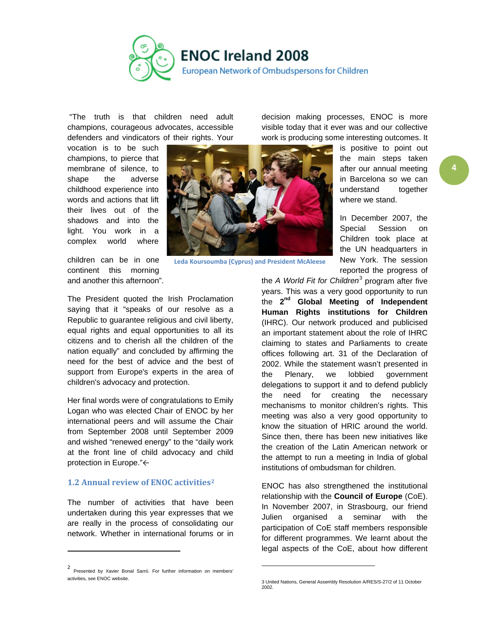

"The truth is that children need adult champions, courageous advocates, accessible defenders and vindicators of their rights. Your

vocation is to be such champions, to pierce that membrane of silence, to shape the adverse childhood experience into words and actions that lift their lives out of the shadows and into the light. You work in a complex world where

children can be in one continent this morning and another this afternoon".

The President quoted the Irish Proclamation saying that it "speaks of our resolve as a Republic to guarantee religious and civil liberty, equal rights and equal opportunities to all its citizens and to cherish all the children of the nation equally" and concluded by affirming the need for the best of advice and the best of support from Europe's experts in the area of children's advocacy and protection.

Her final words were of congratulations to Emily Logan who was elected Chair of ENOC by her international peers and will assume the Chair from September 2008 until September 2009 and wished "renewed energy" to the "daily work at the front line of child advocacy and child protection in Europe."←

### <span id="page-3-0"></span>**1.2 Annual review of ENOC activities[2](#page-3-1)**

The number of activities that have been undertaken during this year expresses that we are really in the process of consolidating our network. Whether in international forums or in decision making processes, ENOC is more visible today that it ever was and our collective work is producing some interesting outcomes. It

> is positive to point out the main steps taken after our annual meeting in Barcelona so we can understand together where we stand.

> In December 2007, the Special Session on Children took place at the UN headquarters in New York. The session reported the progress of

the *A World Fit for Children*[3](#page-3-2) program after five years. This was a very good opportunity to run the **2nd Global Meeting of Independent Human Rights institutions for Children** (IHRC). Our network produced and publicised an important statement about the role of IHRC claiming to states and Parliaments to create offices following art. 31 of the Declaration of 2002. While the statement wasn't presented in the Plenary, we lobbied government delegations to support it and to defend publicly the need for creating the necessary mechanisms to monitor children's rights. This meeting was also a very good opportunity to know the situation of HRIC around the world. Since then, there has been new initiatives like the creation of the Latin American network or the attempt to run a meeting in India of global institutions of ombudsman for children.

ENOC has also strengthened the institutional relationship with the **Council of Europe** (CoE). In November 2007, in Strasbourg, our friend Julien organised a seminar with the participation of CoE staff members responsible for different programmes. We learnt about the legal aspects of the CoE, about how different

 $\overline{a}$ 

**Leda Koursoumba (Cyprus) and President McAleese**

<span id="page-3-2"></span><span id="page-3-1"></span><sup>2</sup> Presented by Xavier Bonal Sarró. For further information on members' activities, see ENOC website.

<sup>3</sup> United Nations, General Assembly Resolution A/RES/S-27/2 of 11 October 2002.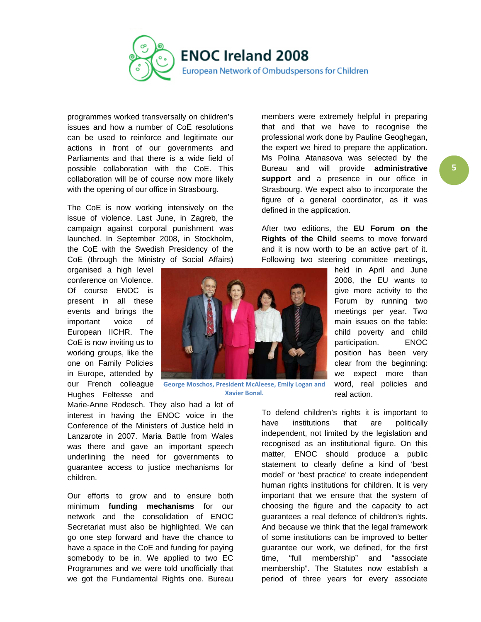

programmes worked transversally on children's issues and how a number of CoE resolutions can be used to reinforce and legitimate our actions in front of our governments and Parliaments and that there is a wide field of possible collaboration with the CoE. This collaboration will be of course now more likely with the opening of our office in Strasbourg.

The CoE is now working intensively on the issue of violence. Last June, in Zagreb, the campaign against corporal punishment was launched. In September 2008, in Stockholm, the CoE with the Swedish Presidency of the CoE (through the Ministry of Social Affairs)

organised a high level conference on Violence. Of course ENOC is present in all these events and brings the important voice of European IICHR. The CoE is now inviting us to working groups, like the one on Family Policies in Europe, attended by our French colleague Hughes Feltesse and



**George Moschos, President McAleese, Emily Logan and Xavier Bonal.**

Marie-Anne Rodesch. They also had a lot of interest in having the ENOC voice in the Conference of the Ministers of Justice held in Lanzarote in 2007. Maria Battle from Wales was there and gave an important speech underlining the need for governments to guarantee access to justice mechanisms for children.

Our efforts to grow and to ensure both minimum **funding mechanisms** for our network and the consolidation of ENOC Secretariat must also be highlighted. We can go one step forward and have the chance to have a space in the CoE and funding for paying somebody to be in. We applied to two EC Programmes and we were told unofficially that we got the Fundamental Rights one. Bureau members were extremely helpful in preparing that and that we have to recognise the professional work done by Pauline Geoghegan, the expert we hired to prepare the application. Ms Polina Atanasova was selected by the Bureau and will provide **administrative support** and a presence in our office in Strasbourg. We expect also to incorporate the figure of a general coordinator, as it was defined in the application.

After two editions, the **EU Forum on the Rights of the Child** seems to move forward and it is now worth to be an active part of it. Following two steering committee meetings,

> held in April and June 2008, the EU wants to give more activity to the Forum by running two meetings per year. Two main issues on the table: child poverty and child participation. ENOC position has been very clear from the beginning: we expect more than word, real policies and real action.

To defend children's rights it is important to have institutions that are politically independent, not limited by the legislation and recognised as an institutional figure. On this matter, ENOC should produce a public statement to clearly define a kind of 'best model' or 'best practice' to create independent human rights institutions for children. It is very important that we ensure that the system of choosing the figure and the capacity to act guarantees a real defence of children's rights. And because we think that the legal framework of some institutions can be improved to better guarantee our work, we defined, for the first time, "full membership" and "associate membership". The Statutes now establish a period of three years for every associate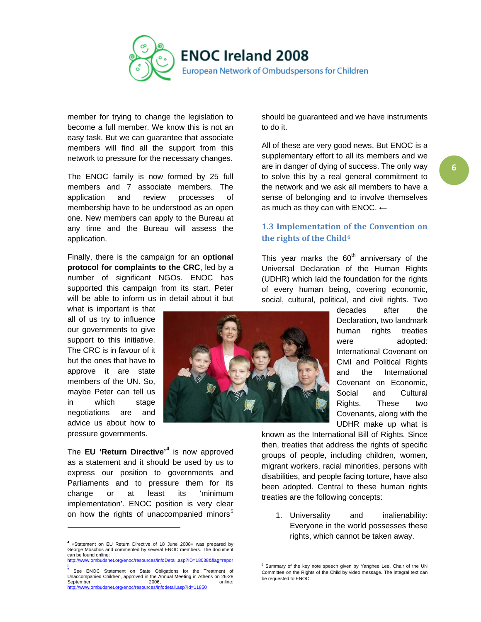

member for trying to change the legislation to become a full member. We know this is not an easy task. But we can guarantee that associate members will find all the support from this network to pressure for the necessary changes.

The ENOC family is now formed by 25 full members and 7 associate members. The application and review processes of membership have to be understood as an open one. New members can apply to the Bureau at any time and the Bureau will assess the application.

Finally, there is the campaign for an **optional protocol for complaints to the CRC**, led by a number of significant NGOs. ENOC has supported this campaign from its start. Peter will be able to inform us in detail about it but

what is important is that all of us try to influence our governments to give support to this initiative. The CRC is in favour of it but the ones that have to approve it are state members of the UN. So, maybe Peter can tell us in which stage negotiations are and advice us about how to pressure governments.

The **EU 'Return Directive'[4](#page-5-1)** is now approved as a statement and it should be used by us to express our position to governments and Parliaments and to pressure them for its change or at least its 'minimum implementation'. ENOC position is very clear on how the rights of unaccompanied minors<sup>[5](#page-5-2)</sup>

should be guaranteed and we have instruments to do it.

All of these are very good news. But ENOC is a supplementary effort to all its members and we are in danger of dying of success. The only way to solve this by a real general commitment to the network and we ask all members to have a sense of belonging and to involve themselves as much as they can with ENOC. **←**

### <span id="page-5-0"></span>**1.3 Implementation of the Convention on the rights of the Child[6](#page-5-3)**

This year marks the  $60<sup>th</sup>$  anniversary of the Universal Declaration of the Human Rights (UDHR) which laid the foundation for the rights of every human being, covering economic, social, cultural, political, and civil rights. Two

> decades after the Declaration, two landmark human rights treaties were adopted: International Covenant on Civil and Political Rights and the International Covenant on Economic, Social and Cultural Rights. These two Covenants, along with the UDHR make up what is

known as the International Bill of Rights. Since then, treaties that address the rights of specific groups of people, including children, women, migrant workers, racial minorities, persons with disabilities, and people facing torture, have also been adopted. Central to these human rights treaties are the following concepts:

1. Universality and inalienability: Everyone in the world possesses these rights, which cannot be taken away.



l

<span id="page-5-1"></span>**<sup>4</sup>** «Statement on EU Return Directive of 18 June 2008» was prepared by George Moschos and commented by several ENOC members. The document can be found online: [http://www.ombudsnet.org/enoc/resources/infoDetail.asp?ID=18038&flag=repor](http://www.ombudsnet.org/enoc/resources/infoDetail.asp?ID=18038&flag=report)

<span id="page-5-3"></span><span id="page-5-2"></span> $\frac{1}{5}$ <sup>5</sup> See ENOC Statement on State Obligations for the Treatment of Unaccompanied Children, approved in the Annual Meeting in Athens on 26-28 September 2006, 2006, 2006 2006, online:<br><http://www.ombudsnet.org/enoc/resources/infodetail.asp?id=11850>

<sup>6</sup> Summary of the key note speech given by Yanghee Lee, Chair of the UN Committee on the Rights of the Child by video message. The integral text can be requested to ENOC.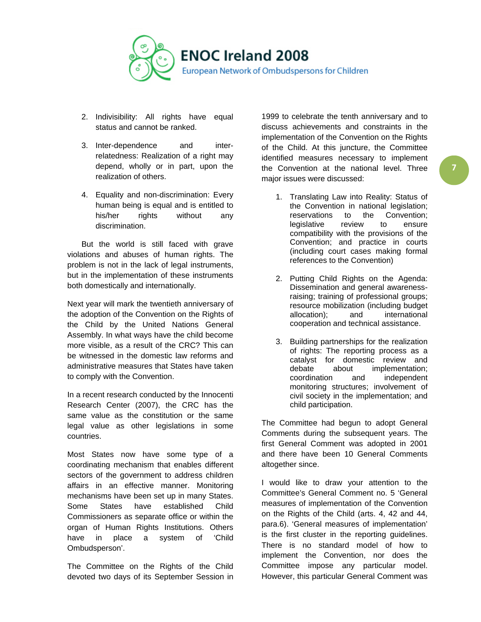

- 2. Indivisibility: All rights have equal status and cannot be ranked.
- 3. Inter-dependence and interrelatedness: Realization of a right may depend, wholly or in part, upon the realization of others.
- 4. Equality and non-discrimination: Every human being is equal and is entitled to his/her rights without any discrimination.

But the world is still faced with grave violations and abuses of human rights. The problem is not in the lack of legal instruments, but in the implementation of these instruments both domestically and internationally.

Next year will mark the twentieth anniversary of the adoption of the Convention on the Rights of the Child by the United Nations General Assembly. In what ways have the child become more visible, as a result of the CRC? This can be witnessed in the domestic law reforms and administrative measures that States have taken to comply with the Convention.

In a recent research conducted by the Innocenti Research Center (2007), the CRC has the same value as the constitution or the same legal value as other legislations in some countries.

Most States now have some type of a coordinating mechanism that enables different sectors of the government to address children affairs in an effective manner. Monitoring mechanisms have been set up in many States. Some States have established Child Commissioners as separate office or within the organ of Human Rights Institutions. Others have in place a system of 'Child Ombudsperson'.

The Committee on the Rights of the Child devoted two days of its September Session in

1999 to celebrate the tenth anniversary and to discuss achievements and constraints in the implementation of the Convention on the Rights of the Child. At this juncture, the Committee identified measures necessary to implement the Convention at the national level. Three major issues were discussed:

- 1. Translating Law into Reality: Status of the Convention in national legislation; reservations to the Convention;<br>legislative review to ensure legislative review to ensure compatibility with the provisions of the Convention; and practice in courts (including court cases making formal references to the Convention)
- 2. Putting Child Rights on the Agenda: Dissemination and general awarenessraising; training of professional groups; resource mobilization (including budget allocation); and international cooperation and technical assistance.
- 3. Building partnerships for the realization of rights: The reporting process as a catalyst for domestic review and debate about implementation; coordination and independent monitoring structures; involvement of civil society in the implementation; and child participation.

The Committee had begun to adopt General Comments during the subsequent years. The first General Comment was adopted in 2001 and there have been 10 General Comments altogether since.

I would like to draw your attention to the Committee's General Comment no. 5 'General measures of implementation of the Convention on the Rights of the Child (arts. 4, 42 and 44, para.6). 'General measures of implementation' is the first cluster in the reporting guidelines. There is no standard model of how to implement the Convention, nor does the Committee impose any particular model. However, this particular General Comment was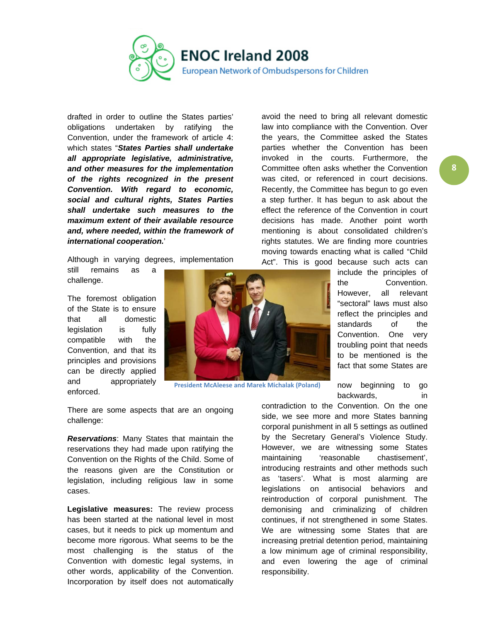

drafted in order to outline the States parties' obligations undertaken by ratifying the Convention, under the framework of article 4: which states "*States Parties shall undertake all appropriate legislative, administrative, and other measures for the implementation of the rights recognized in the present Convention. With regard to economic, social and cultural rights, States Parties shall undertake such measures to the maximum extent of their available resource and, where needed, within the framework of international cooperation.*'

Although in varying degrees, implementation still remains as a

challenge.

The foremost obligation of the State is to ensure that all domestic legislation is fully compatible with the Convention, and that its principles and provisions can be directly applied and appropriately enforced.



**President McAleese and Marek Michalak (Poland)**

There are some aspects that are an ongoing challenge:

*Reservations*: Many States that maintain the reservations they had made upon ratifying the Convention on the Rights of the Child. Some of the reasons given are the Constitution or legislation, including religious law in some cases.

**Legislative measures:** The review process has been started at the national level in most cases, but it needs to pick up momentum and become more rigorous. What seems to be the most challenging is the status of the Convention with domestic legal systems, in other words, applicability of the Convention. Incorporation by itself does not automatically

avoid the need to bring all relevant domestic law into compliance with the Convention. Over the years, the Committee asked the States parties whether the Convention has been invoked in the courts. Furthermore, the Committee often asks whether the Convention was cited, or referenced in court decisions. Recently, the Committee has begun to go even a step further. It has begun to ask about the effect the reference of the Convention in court decisions has made. Another point worth mentioning is about consolidated children's rights statutes. We are finding more countries moving towards enacting what is called "Child Act". This is good because such acts can

> include the principles of the Convention. However, all relevant "sectoral" laws must also reflect the principles and standards of the Convention. One very troubling point that needs to be mentioned is the fact that some States are

> now beginning to go backwards, in in

contradiction to the Convention. On the one side, we see more and more States banning corporal punishment in all 5 settings as outlined by the Secretary General's Violence Study. However, we are witnessing some States maintaining 'reasonable chastisement', introducing restraints and other methods such as 'tasers'. What is most alarming are legislations on antisocial behaviors and reintroduction of corporal punishment. The demonising and criminalizing of children continues, if not strengthened in some States. We are witnessing some States that are increasing pretrial detention period, maintaining a low minimum age of criminal responsibility, and even lowering the age of criminal responsibility.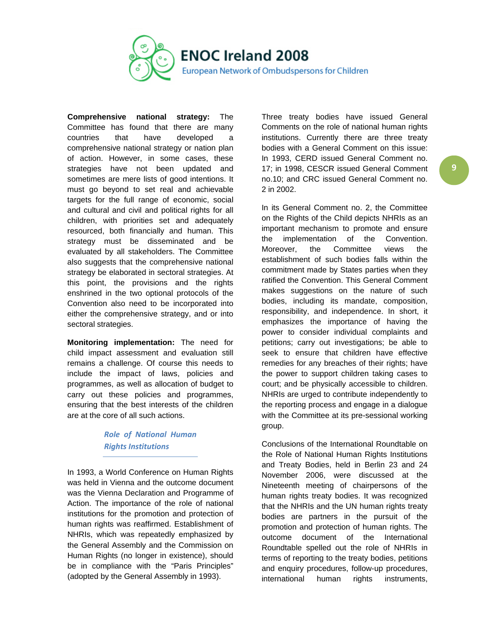

**Comprehensive national strategy:** The Committee has found that there are many countries that have developed a comprehensive national strategy or nation plan of action. However, in some cases, these strategies have not been updated and sometimes are mere lists of good intentions. It must go beyond to set real and achievable targets for the full range of economic, social and cultural and civil and political rights for all children, with priorities set and adequately resourced, both financially and human. This strategy must be disseminated and be evaluated by all stakeholders. The Committee also suggests that the comprehensive national strategy be elaborated in sectoral strategies. At this point, the provisions and the rights enshrined in the two optional protocols of the Convention also need to be incorporated into either the comprehensive strategy, and or into sectoral strategies.

**Monitoring implementation:** The need for child impact assessment and evaluation still remains a challenge. Of course this needs to include the impact of laws, policies and programmes, as well as allocation of budget to carry out these policies and programmes, ensuring that the best interests of the children are at the core of all such actions.

> *Role of National Human Rights Institutions*

In 1993, a World Conference on Human Rights was held in Vienna and the outcome document was the Vienna Declaration and Programme of Action. The importance of the role of national institutions for the promotion and protection of human rights was reaffirmed. Establishment of NHRIs, which was repeatedly emphasized by the General Assembly and the Commission on Human Rights (no longer in existence), should be in compliance with the "Paris Principles" (adopted by the General Assembly in 1993).

Three treaty bodies have issued General Comments on the role of national human rights institutions. Currently there are three treaty bodies with a General Comment on this issue: In 1993, CERD issued General Comment no. 17; in 1998, CESCR issued General Comment no.10; and CRC issued General Comment no. 2 in 2002.

In its General Comment no. 2, the Committee on the Rights of the Child depicts NHRIs as an important mechanism to promote and ensure the implementation of the Convention. Moreover, the Committee views the establishment of such bodies falls within the commitment made by States parties when they ratified the Convention. This General Comment makes suggestions on the nature of such bodies, including its mandate, composition, responsibility, and independence. In short, it emphasizes the importance of having the power to consider individual complaints and petitions; carry out investigations; be able to seek to ensure that children have effective remedies for any breaches of their rights; have the power to support children taking cases to court; and be physically accessible to children. NHRIs are urged to contribute independently to the reporting process and engage in a dialogue with the Committee at its pre-sessional working group.

Conclusions of the International Roundtable on the Role of National Human Rights Institutions and Treaty Bodies, held in Berlin 23 and 24 November 2006, were discussed at the Nineteenth meeting of chairpersons of the human rights treaty bodies. It was recognized that the NHRIs and the UN human rights treaty bodies are partners in the pursuit of the promotion and protection of human rights. The outcome document of the International Roundtable spelled out the role of NHRIs in terms of reporting to the treaty bodies, petitions and enquiry procedures, follow-up procedures, international human rights instruments,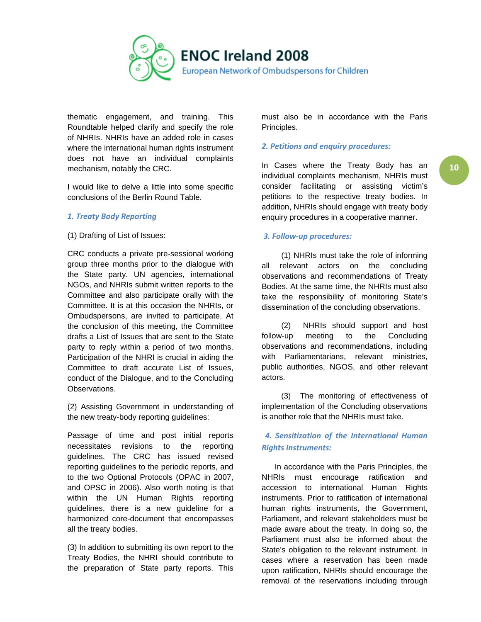

thematic engagement, and training. This Roundtable helped clarify and specify the role of NHRIs. NHRIs have an added role in cases where the international human rights instrument does not have an individual complaints mechanism, notably the CRC.

I would like to delve a little into some specific conclusions of the Berlin Round Table.

### *1. Treaty Body Reporting*

(1) Drafting of List of Issues:

CRC conducts a private pre-sessional working group three months prior to the dialogue with the State party. UN agencies, international NGOs, and NHRIs submit written reports to the Committee and also participate orally with the Committee. It is at this occasion the NHRIs, or Ombudspersons, are invited to participate. At the conclusion of this meeting, the Committee drafts a List of Issues that are sent to the State party to reply within a period of two months. Participation of the NHRI is crucial in aiding the Committee to draft accurate List of Issues, conduct of the Dialogue, and to the Concluding Observations.

(2) Assisting Government in understanding of the new treaty-body reporting guidelines:

Passage of time and post initial reports necessitates revisions to the reporting guidelines. The CRC has issued revised reporting guidelines to the periodic reports, and to the two Optional Protocols (OPAC in 2007, and OPSC in 2006). Also worth noting is that within the UN Human Rights reporting guidelines, there is a new guideline for a harmonized core-document that encompasses all the treaty bodies.

(3) In addition to submitting its own report to the Treaty Bodies, the NHRI should contribute to the preparation of State party reports. This must also be in accordance with the Paris Principles.

### *2. Petitions and enquiry procedures:*

In Cases where the Treaty Body has an individual complaints mechanism, NHRIs must consider facilitating or assisting victim's petitions to the respective treaty bodies. In addition, NHRIs should engage with treaty body enquiry procedures in a cooperative manner.

### *3. Follow-up procedures:*

 (1) NHRIs must take the role of informing all relevant actors on the concluding observations and recommendations of Treaty Bodies. At the same time, the NHRIs must also take the responsibility of monitoring State's dissemination of the concluding observations.

 (2) NHRIs should support and host follow-up meeting to the Concluding observations and recommendations, including with Parliamentarians, relevant ministries, public authorities, NGOS, and other relevant actors.

 (3) The monitoring of effectiveness of implementation of the Concluding observations is another role that the NHRIs must take.

### *4. Sensitization of the International Human Rights Instruments:*

 In accordance with the Paris Principles, the NHRIs must encourage ratification and accession to international Human Rights instruments. Prior to ratification of international human rights instruments, the Government, Parliament, and relevant stakeholders must be made aware about the treaty. In doing so, the Parliament must also be informed about the State's obligation to the relevant instrument. In cases where a reservation has been made upon ratification, NHRIs should encourage the removal of the reservations including through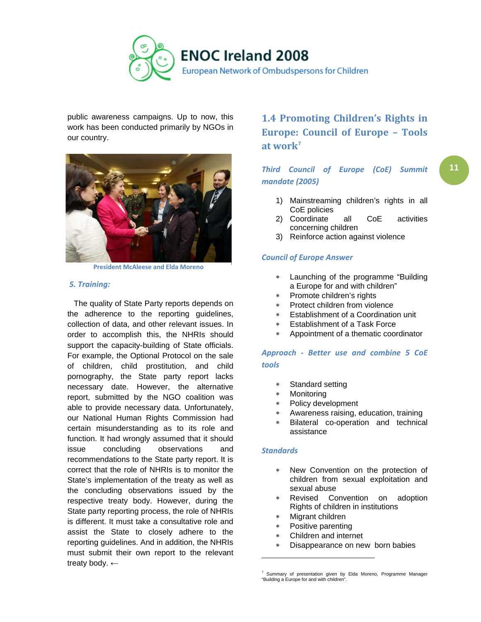<span id="page-10-0"></span>

public awareness campaigns. Up to now, this work has been conducted primarily by NGOs in our country.



**President McAleese and Elda Moreno**

#### *5. Training:*

 The quality of State Party reports depends on the adherence to the reporting guidelines, collection of data, and other relevant issues. In order to accomplish this, the NHRIs should support the capacity-building of State officials. For example, the Optional Protocol on the sale of children, child prostitution, and child pornography, the State party report lacks necessary date. However, the alternative report, submitted by the NGO coalition was able to provide necessary data. Unfortunately, our National Human Rights Commission had certain misunderstanding as to its role and function. It had wrongly assumed that it should issue concluding observations and recommendations to the State party report. It is correct that the role of NHRIs is to monitor the State's implementation of the treaty as well as the concluding observations issued by the respective treaty body. However, during the State party reporting process, the role of NHRIs is different. It must take a consultative role and assist the State to closely adhere to the reporting guidelines. And in addition, the NHRIs must submit their own report to the relevant treaty body. ←

# **1.4 Promoting Children's Rights in Europe: Council of Europe – Tools at work[7](#page-10-1)**

### *Third Council of Europe (CoE) Summit mandate (2005)*

- 1) Mainstreaming children's rights in all CoE policies
- 2) Coordinate all CoE activities concerning children
- 3) Reinforce action against violence

### *Council of Europe Answer*

- Launching of the programme "Building" a Europe for and with children"
- Promote children's rights
- Protect children from violence
- Establishment of a Coordination unit
- ∗ Establishment of a Task Force
- ∗ Appointment of a thematic coordinator

### *Approach - Better use and combine 5 CoE tools*

- Standard setting
- **Monitoring**
- ∗ Policy development
- ∗ Awareness raising, education, training
- ∗ Bilateral co-operation and technical assistance

#### *Standards*

- New Convention on the protection of children from sexual exploitation and sexual abuse
- Revised Convention on adoption Rights of children in institutions
- Migrant children
- Positive parenting
- Children and internet
- Disappearance on new born babies

<span id="page-10-1"></span><sup>&</sup>lt;sup>7</sup> Summary of presentation given by Elda Moreno, Programme Manager "Building a Europe for and with children".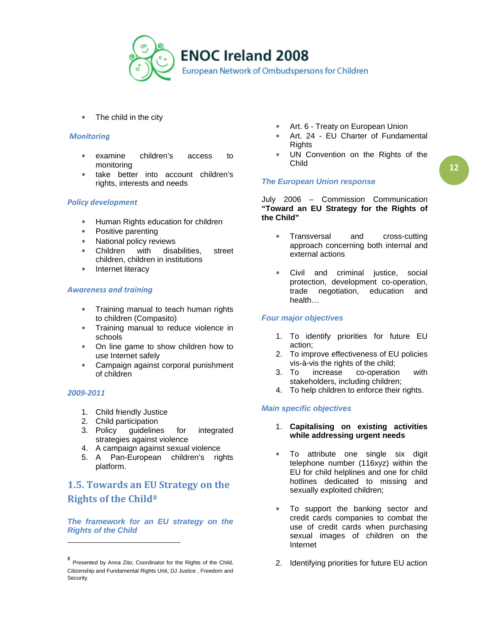

∗ The child in the city

#### *Monitoring*

- examine children's access to monitoring
- ∗ take better into account children's rights, interests and needs

#### *Policy development*

- ∗ Human Rights education for children
- ∗ Positive parenting
- ∗ National policy reviews
- ∗ Children with disabilities, street children, children in institutions
- ∗ Internet literacy

### *Awareness and training*

- ∗ Training manual to teach human rights to children (Compasito)
- ∗ Training manual to reduce violence in schools
- ∗ On line game to show children how to use Internet safely
- ∗ Campaign against corporal punishment of children

### *2009-2011*

l

- 1. Child friendly Justice
- 2. Child participation
- 3. Policy guidelines for integrated strategies against violence
- 4. A campaign against sexual violence
- 5. A Pan-European children's rights platform.

# <span id="page-11-0"></span>**1.5. Towards an EU Strategy on the Rights of the Child[8](#page-11-1)**

*The framework for an EU strategy on the Rights of the Child* 

- ∗ Art. 6 Treaty on European Union
- ∗ Art. 24 EU Charter of Fundamental **Rights**
- ∗ UN Convention on the Rights of the Child

### *The European Union response*

July 2006 – Commission Communication **"Toward an EU Strategy for the Rights of the Child"**

- Transversal and cross-cutting approach concerning both internal and external actions
- ∗ Civil and criminal justice, social protection, development co-operation, trade negotiation, education and health…

### *Four major objectives*

- 1. To identify priorities for future EU action;
- 2. To improve effectiveness of EU policies vis-à-vis the rights of the child;
- 3. To increase co-operation with stakeholders, including children;
- 4. To help children to enforce their rights.

### *Main specific objectives*

- 1. **Capitalising on existing activities while addressing urgent needs**
- To attribute one single six digit telephone number (116xyz) within the EU for child helplines and one for child hotlines dedicated to missing and sexually exploited children;
- To support the banking sector and credit cards companies to combat the use of credit cards when purchasing sexual images of children on the Internet
- 2. Identifying priorities for future EU action

<span id="page-11-1"></span><sup>8</sup> Presented by Anna Zito, Coordinator for the Rights of the Child, Citizenship and Fundamental Rights Unit, DJ Justice , Freedom and Security.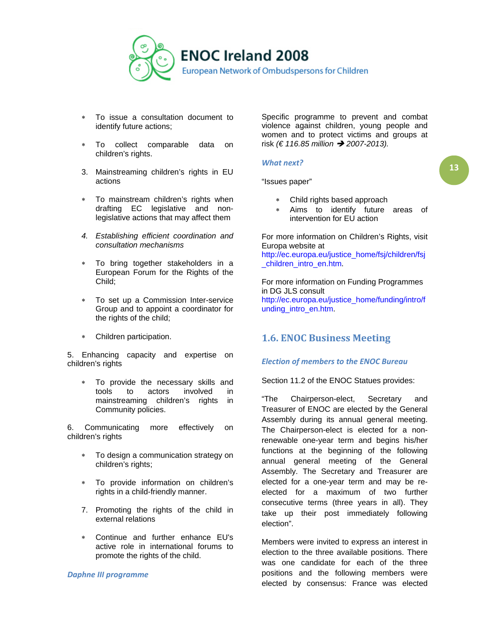

- ∗ To issue a consultation document to identify future actions;
- To collect comparable data on children's rights.
- 3. Mainstreaming children's rights in EU actions
- ∗ To mainstream children's rights when drafting EC legislative and nonlegislative actions that may affect them
- *4. Establishing efficient coordination and consultation mechanisms*
- To bring together stakeholders in a European Forum for the Rights of the Child;
- ∗ To set up a Commission Inter-service Group and to appoint a coordinator for the rights of the child;
- ∗ Children participation.

5. Enhancing capacity and expertise on children's rights

∗ To provide the necessary skills and tools to actors involved in mainstreaming children's rights in Community policies.

6. Communicating more effectively on children's rights

- To design a communication strategy on children's rights;
- ∗ To provide information on children's rights in a child-friendly manner.
- 7. Promoting the rights of the child in external relations
- ∗ Continue and further enhance EU's active role in international forums to promote the rights of the child.

*Daphne III programme*

Specific programme to prevent and combat violence against children, young people and women and to protect victims and groups at risk *(€ 116.85 million → 2007-2013).* 

#### *What next?*

"Issues paper"

- ∗ Child rights based approach
- Aims to identify future areas of intervention for EU action

For more information on Children's Rights, visit Europa website at [http://ec.europa.eu/justice\\_home/fsj/children/fsj](http://ec.europa.eu/justice_home/fsj/children/fsj_children_intro_en.htm) [\\_children\\_intro\\_en.htm.](http://ec.europa.eu/justice_home/fsj/children/fsj_children_intro_en.htm)

For more information on Funding Programmes in DG JLS consult [http://ec.europa.eu/justice\\_home/funding/intro/f](http://ec.europa.eu/justice_home/funding/intro/funding_intro_en.htm) [unding\\_intro\\_en.htm.](http://ec.europa.eu/justice_home/funding/intro/funding_intro_en.htm)

### <span id="page-12-0"></span>**1.6. ENOC Business Meeting**

### *Election of members to the ENOC Bureau*

Section 11.2 of the ENOC Statues provides:

"The Chairperson-elect, Secretary and Treasurer of ENOC are elected by the General Assembly during its annual general meeting. The Chairperson-elect is elected for a nonrenewable one-year term and begins his/her functions at the beginning of the following annual general meeting of the General Assembly. The Secretary and Treasurer are elected for a one-year term and may be reelected for a maximum of two further consecutive terms (three years in all). They take up their post immediately following election".

Members were invited to express an interest in election to the three available positions. There was one candidate for each of the three positions and the following members were elected by consensus: France was elected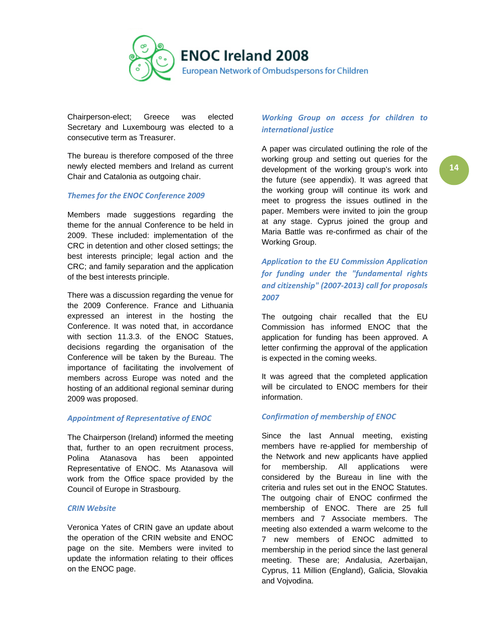

Chairperson-elect; Greece was elected Secretary and Luxembourg was elected to a consecutive term as Treasurer.

The bureau is therefore composed of the three newly elected members and Ireland as current Chair and Catalonia as outgoing chair.

### *Themes for the ENOC Conference 2009*

Members made suggestions regarding the theme for the annual Conference to be held in 2009. These included: implementation of the CRC in detention and other closed settings; the best interests principle; legal action and the CRC; and family separation and the application of the best interests principle.

There was a discussion regarding the venue for the 2009 Conference. France and Lithuania expressed an interest in the hosting the Conference. It was noted that, in accordance with section 11.3.3. of the ENOC Statues, decisions regarding the organisation of the Conference will be taken by the Bureau. The importance of facilitating the involvement of members across Europe was noted and the hosting of an additional regional seminar during 2009 was proposed.

#### *Appointment of Representative of ENOC*

The Chairperson (Ireland) informed the meeting that, further to an open recruitment process, Polina Atanasova has been appointed Representative of ENOC. Ms Atanasova will work from the Office space provided by the Council of Europe in Strasbourg.

#### *CRIN Website*

Veronica Yates of CRIN gave an update about the operation of the CRIN website and ENOC page on the site. Members were invited to update the information relating to their offices on the ENOC page.

### *Working Group on access for children to international justice*

A paper was circulated outlining the role of the working group and setting out queries for the development of the working group's work into the future (see appendix). It was agreed that the working group will continue its work and meet to progress the issues outlined in the paper. Members were invited to join the group at any stage. Cyprus joined the group and Maria Battle was re-confirmed as chair of the Working Group.

*Application to the EU Commission Application for funding under the "fundamental rights and citizenship" (2007-2013) call for proposals 2007*

The outgoing chair recalled that the EU Commission has informed ENOC that the application for funding has been approved. A letter confirming the approval of the application is expected in the coming weeks.

It was agreed that the completed application will be circulated to ENOC members for their information.

### *Confirmation of membership of ENOC*

Since the last Annual meeting, existing members have re-applied for membership of the Network and new applicants have applied for membership. All applications were considered by the Bureau in line with the criteria and rules set out in the ENOC Statutes. The outgoing chair of ENOC confirmed the membership of ENOC. There are 25 full members and 7 Associate members. The meeting also extended a warm welcome to the 7 new members of ENOC admitted to membership in the period since the last general meeting. These are; Andalusia, Azerbaijan, Cyprus, 11 Million (England), Galicia, Slovakia and Vojvodina.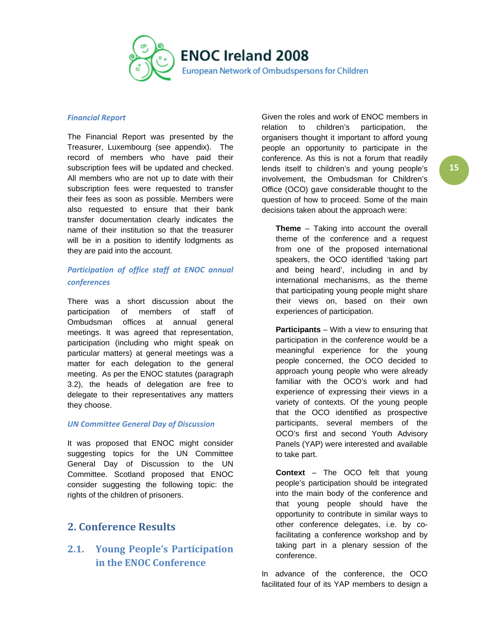

#### *Financial Report*

The Financial Report was presented by the Treasurer, Luxembourg (see appendix). The record of members who have paid their subscription fees will be updated and checked. All members who are not up to date with their subscription fees were requested to transfer their fees as soon as possible. Members were also requested to ensure that their bank transfer documentation clearly indicates the name of their institution so that the treasurer will be in a position to identify lodgments as they are paid into the account.

### *Participation of office staff at ENOC annual conferences*

There was a short discussion about the participation of members of staff of Ombudsman offices at annual general meetings. It was agreed that representation, participation (including who might speak on particular matters) at general meetings was a matter for each delegation to the general meeting. As per the ENOC statutes (paragraph 3.2), the heads of delegation are free to delegate to their representatives any matters they choose.

### *UN Committee General Day of Discussion*

It was proposed that ENOC might consider suggesting topics for the UN Committee General Day of Discussion to the UN Committee. Scotland proposed that ENOC consider suggesting the following topic: the rights of the children of prisoners.

## <span id="page-14-0"></span>**2. Conference Results**

#### <span id="page-14-1"></span>**2.1. Young People's Participation Example 18 and Separt** conference. **in the ENOC Conference**

Given the roles and work of ENOC members in relation to children's participation, the organisers thought it important to afford young people an opportunity to participate in the conference. As this is not a forum that readily lends itself to children's and young people's involvement, the Ombudsman for Children's Office (OCO) gave considerable thought to the question of how to proceed. Some of the main decisions taken about the approach were:

**Theme** – Taking into account the overall theme of the conference and a request from one of the proposed international speakers, the OCO identified 'taking part and being heard', including in and by international mechanisms, as the theme that participating young people might share their views on, based on their own experiences of participation.

**Participants** – With a view to ensuring that participation in the conference would be a meaningful experience for the young people concerned, the OCO decided to approach young people who were already familiar with the OCO's work and had experience of expressing their views in a variety of contexts. Of the young people that the OCO identified as prospective participants, several members of the OCO's first and second Youth Advisory Panels (YAP) were interested and available to take part.

**Context** – The OCO felt that young people's participation should be integrated into the main body of the conference and that young people should have the opportunity to contribute in similar ways to other conference delegates, i.e. by cofacilitating a conference workshop and by taking part in a plenary session of the

In advance of the conference, the OCO facilitated four of its YAP members to design a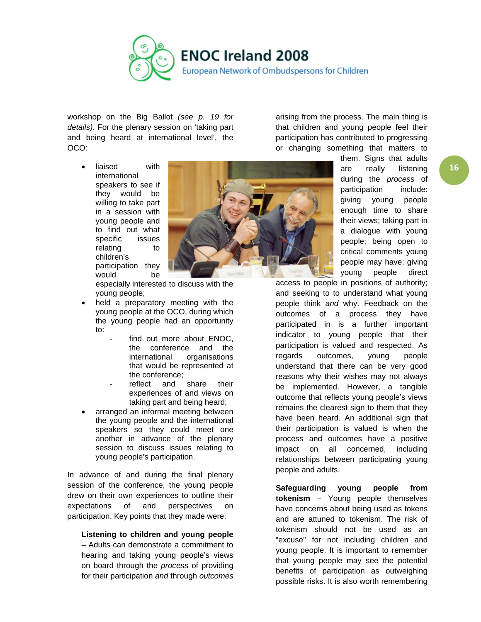

workshop on the Big Ballot *(see p. 19 for details)*. For the plenary session on 'taking part and being heard at international level', the OCO:

arising from the process. The main thing is that children and young people feel their participation has contributed to progressing or changing something that matters to

liaised with international speakers to see if they would be willing to take part in a session with young people and to find out what specific issues relating to children's participation they would be



especially interested to discuss with the young people;

- held a preparatory meeting with the young people at the OCO, during which the young people had an opportunity to:
	- find out more about ENOC, the conference and the international organisations that would be represented at the conference;
	- reflect and share their experiences of and views on taking part and being heard;
- arranged an informal meeting between the young people and the international speakers so they could meet one another in advance of the plenary session to discuss issues relating to young people's participation.

In advance of and during the final plenary session of the conference, the young people drew on their own experiences to outline their expectations of and perspectives on participation. Key points that they made were:

### **Listening to children and young people**

– Adults can demonstrate a commitment to hearing and taking young people's views on board through the *process* of providing for their participation *and* through *outcomes* them. Signs that adults are really listening during the *process* of participation include: giving young people enough time to share their views; taking part in a dialogue with young people; being open to critical comments young people may have; giving young people direct

access to people in positions of authority; and seeking to to understand what young people think *and* why. Feedback on the outcomes of a process they have participated in is a further important indicator to young people that their participation is valued and respected. As regards outcomes, young people understand that there can be very good reasons why their wishes may not always be implemented. However, a tangible outcome that reflects young people's views remains the clearest sign to them that they have been heard. An additional sign that their participation is valued is when the process and outcomes have a positive impact on all concerned, including relationships between participating young people and adults.

**Safeguarding young people from tokenism** – Young people themselves have concerns about being used as tokens and are attuned to tokenism. The risk of tokenism should not be used as an "excuse" for not including children and young people. It is important to remember that young people may see the potential benefits of participation as outweighing possible risks. It is also worth remembering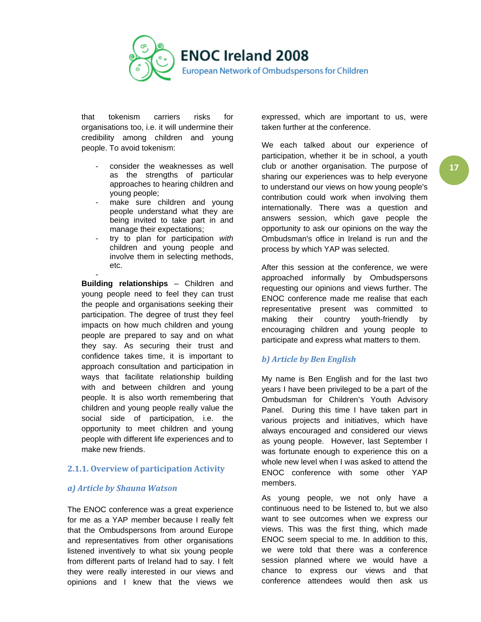

that tokenism carriers risks for organisations too, i.e. it will undermine their credibility among children and young people. To avoid tokenism:

- consider the weaknesses as well as the strengths of particular approaches to hearing children and young people;
- make sure children and young people understand what they are being invited to take part in and manage their expectations;
- try to plan for participation *with* children and young people and involve them in selecting methods, etc.

- **Building relationships** – Children and young people need to feel they can trust the people and organisations seeking their participation. The degree of trust they feel impacts on how much children and young people are prepared to say and on what they say. As securing their trust and confidence takes time, it is important to approach consultation and participation in ways that facilitate relationship building with and between children and young people. It is also worth remembering that children and young people really value the social side of participation, i.e. the opportunity to meet children and young people with different life experiences and to make new friends.

### <span id="page-16-0"></span>**2.1.1. Overview of participation Activity**

### *a) Article by Shauna Watson*

The ENOC conference was a great experience for me as a YAP member because I really felt that the Ombudspersons from around Europe and representatives from other organisations listened inventively to what six young people from different parts of Ireland had to say. I felt they were really interested in our views and opinions and I knew that the views we

expressed, which are important to us, were taken further at the conference.

We each talked about our experience of participation, whether it be in school, a youth club or another organisation. The purpose of sharing our experiences was to help everyone to understand our views on how young people's contribution could work when involving them internationally. There was a question and answers session, which gave people the opportunity to ask our opinions on the way the Ombudsman's office in Ireland is run and the process by which YAP was selected.

After this session at the conference, we were approached informally by Ombudspersons requesting our opinions and views further. The ENOC conference made me realise that each representative present was committed to making their country youth-friendly by encouraging children and young people to participate and express what matters to them.

### *b) Article by Ben English*

My name is Ben English and for the last two years I have been privileged to be a part of the Ombudsman for Children's Youth Advisory Panel. During this time I have taken part in various projects and initiatives, which have always encouraged and considered our views as young people. However, last September I was fortunate enough to experience this on a whole new level when I was asked to attend the ENOC conference with some other YAP members.

As young people, we not only have a continuous need to be listened to, but we also want to see outcomes when we express our views. This was the first thing, which made ENOC seem special to me. In addition to this, we were told that there was a conference session planned where we would have a chance to express our views and that conference attendees would then ask us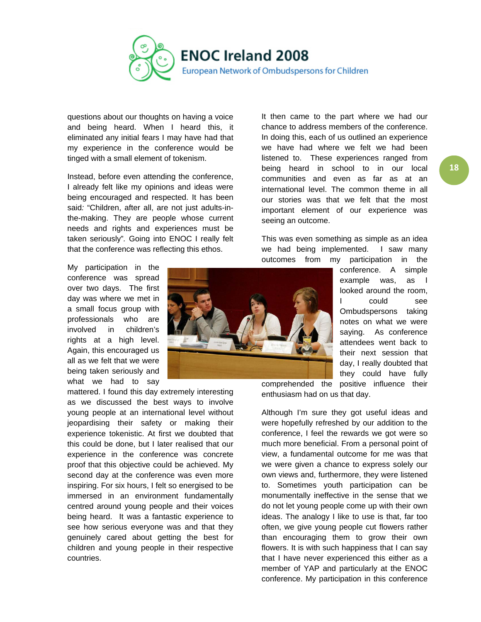

questions about our thoughts on having a voice and being heard. When I heard this, it eliminated any initial fears I may have had that my experience in the conference would be tinged with a small element of tokenism.

Instead, before even attending the conference, I already felt like my opinions and ideas were being encouraged and respected. It has been said*:* "Children, after all, are not just adults-inthe-making. They are people whose current needs and rights and experiences must be taken seriously"*.* Going into ENOC I really felt that the conference was reflecting this ethos.

My participation in the conference was spread over two days. The first day was where we met in a small focus group with professionals who are involved in children's rights at a high level. Again, this encouraged us all as we felt that we were being taken seriously and what we had to say

mattered. I found this day extremely interesting as we discussed the best ways to involve young people at an international level without jeopardising their safety or making their experience tokenistic. At first we doubted that this could be done, but I later realised that our experience in the conference was concrete proof that this objective could be achieved. My second day at the conference was even more inspiring. For six hours, I felt so energised to be immersed in an environment fundamentally centred around young people and their voices being heard. It was a fantastic experience to see how serious everyone was and that they genuinely cared about getting the best for children and young people in their respective countries.

It then came to the part where we had our chance to address members of the conference. In doing this, each of us outlined an experience we have had where we felt we had been listened to. These experiences ranged from being heard in school to in our local communities and even as far as at an international level. The common theme in all our stories was that we felt that the most important element of our experience was seeing an outcome.

This was even something as simple as an idea we had being implemented. I saw many outcomes from my participation in the



conference. A simple example was, as I looked around the room, I could see Ombudspersons taking notes on what we were saying. As conference attendees went back to their next session that day, I really doubted that they could have fully comprehended the positive influence their

enthusiasm had on us that day.

Although I'm sure they got useful ideas and were hopefully refreshed by our addition to the conference, I feel the rewards we got were so much more beneficial. From a personal point of view, a fundamental outcome for me was that we were given a chance to express solely our own views and, furthermore, they were listened to. Sometimes youth participation can be monumentally ineffective in the sense that we do not let young people come up with their own ideas. The analogy I like to use is that, far too often, we give young people cut flowers rather than encouraging them to grow their own flowers. It is with such happiness that I can say that I have never experienced this either as a member of YAP and particularly at the ENOC conference. My participation in this conference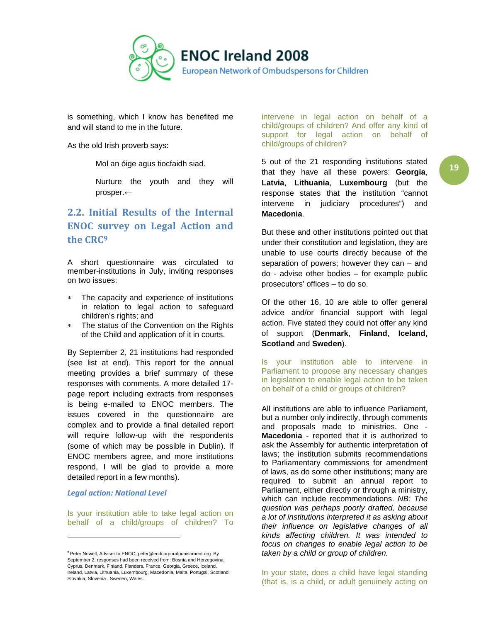

is something, which I know has benefited me and will stand to me in the future.

As the old Irish proverb says:

Mol an óige agus tiocfaidh siad.

Nurture the youth and they will prosper.←

# <span id="page-18-0"></span>**2.2. Initial Results of the Internal ENOC survey on Legal Action and the CRC[9](#page-18-1)**

A short questionnaire was circulated to member-institutions in July, inviting responses on two issues:

- The capacity and experience of institutions in relation to legal action to safeguard children's rights; and
- The status of the Convention on the Rights of the Child and application of it in courts.

By September 2, 21 institutions had responded (see list at end). This report for the annual meeting provides a brief summary of these responses with comments. A more detailed 17 page report including extracts from responses is being e-mailed to ENOC members. The issues covered in the questionnaire are complex and to provide a final detailed report will require follow-up with the respondents (some of which may be possible in Dublin). If ENOC members agree, and more institutions respond, I will be glad to provide a more detailed report in a few months).

#### *Legal action: National Level*

Is your institution able to take legal action on behalf of a child/groups of children? To

intervene in legal action on behalf of a child/groups of children? And offer any kind of support for legal action on behalf of child/groups of children?

5 out of the 21 responding institutions stated that they have all these powers: **Georgia**, **Latvia**, **Lithuania**, **Luxembourg** (but the response states that the institution "cannot intervene in judiciary procedures") and **Macedonia**.

But these and other institutions pointed out that under their constitution and legislation, they are unable to use courts directly because of the separation of powers; however they can – and do - advise other bodies – for example public prosecutors' offices – to do so.

Of the other 16, 10 are able to offer general advice and/or financial support with legal action. Five stated they could not offer any kind of support (**Denmark**, **Finland**, **Iceland**, **Scotland** and **Sweden**).

Is your institution able to intervene in Parliament to propose any necessary changes in legislation to enable legal action to be taken on behalf of a child or groups of children?

All institutions are able to influence Parliament, but a number only indirectly, through comments and proposals made to ministries. One - **Macedonia** - reported that it is authorized to ask the Assembly for authentic interpretation of laws; the institution submits recommendations to Parliamentary commissions for amendment of laws, as do some other institutions; many are required to submit an annual report to Parliament, either directly or through a ministry, which can include recommendations. *NB: The question was perhaps poorly drafted, because a lot of institutions interpreted it as asking about their influence on legislative changes of all kinds affecting children. It was intended to focus on changes to enable legal action to be taken by a child or group of children.*

<span id="page-18-1"></span><sup>&</sup>lt;sup>9</sup> Peter Newell, Adviser to ENOC, peter@endcorporalpunishment.org. By September 2, responses had been received from: Bosnia and Herzegovina, Cyprus, Denmark, Finland, Flanders, France, Georgia, Greece, Iceland, Ireland, Latvia, Lithuania, Luxembourg, Macedonia, Malta, Portugal, Scotland, Slovakia, Slovenia , Sweden, Wales.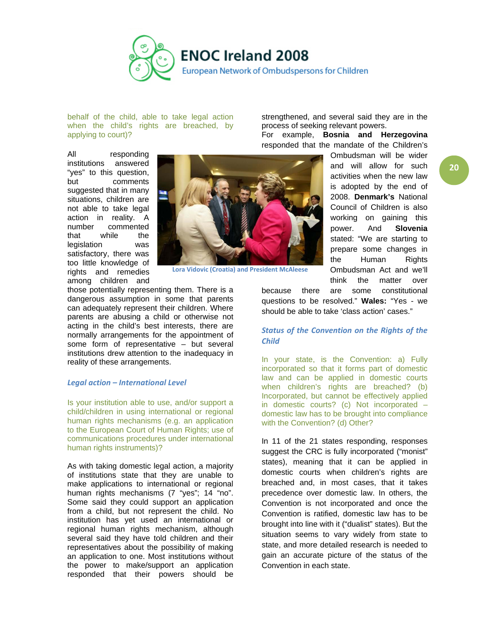

behalf of the child, able to take legal action when the child's rights are breached, by applying to court)?

strengthened, and several said they are in the process of seeking relevant powers. For example, **Bosnia and Herzegovina**

responded that the mandate of the Children's

All responding institutions answered "yes" to this question, but comments suggested that in many situations, children are not able to take legal action in reality. A number commented that while the legislation was satisfactory, there was too little knowledge of rights and remedies among children and



**Lora Vidovic (Croatia) and President McAleese**

those potentially representing them. There is a dangerous assumption in some that parents can adequately represent their children. Where parents are abusing a child or otherwise not acting in the child's best interests, there are normally arrangements for the appointment of some form of representative – but several institutions drew attention to the inadequacy in reality of these arrangements.

#### *Legal action – International Level*

Is your institution able to use, and/or support a child/children in using international or regional human rights mechanisms (e.g. an application to the European Court of Human Rights; use of communications procedures under international human rights instruments)?

As with taking domestic legal action, a majority of institutions state that they are unable to make applications to international or regional human rights mechanisms (7 "yes"; 14 "no". Some said they could support an application from a child, but not represent the child. No institution has yet used an international or regional human rights mechanism, although several said they have told children and their representatives about the possibility of making an application to one. Most institutions without the power to make/support an application responded that their powers should be

Ombudsman will be wider and will allow for such activities when the new law is adopted by the end of 2008. **Denmark's** National Council of Children is also working on gaining this power. And **Slovenia** stated: "We are starting to prepare some changes in the Human Rights Ombudsman Act and we'll think the matter over

because there are some constitutional questions to be resolved." **Wales:** "Yes - we should be able to take 'class action' cases."

### *Status of the Convention on the Rights of the Child*

In your state, is the Convention: a) Fully incorporated so that it forms part of domestic law and can be applied in domestic courts when children's rights are breached? (b) Incorporated, but cannot be effectively applied in domestic courts? (c) Not incorporated – domestic law has to be brought into compliance with the Convention? (d) Other?

In 11 of the 21 states responding, responses suggest the CRC is fully incorporated ("monist" states), meaning that it can be applied in domestic courts when children's rights are breached and, in most cases, that it takes precedence over domestic law. In others, the Convention is not incorporated and once the Convention is ratified, domestic law has to be brought into line with it ("dualist" states). But the situation seems to vary widely from state to state, and more detailed research is needed to gain an accurate picture of the status of the Convention in each state.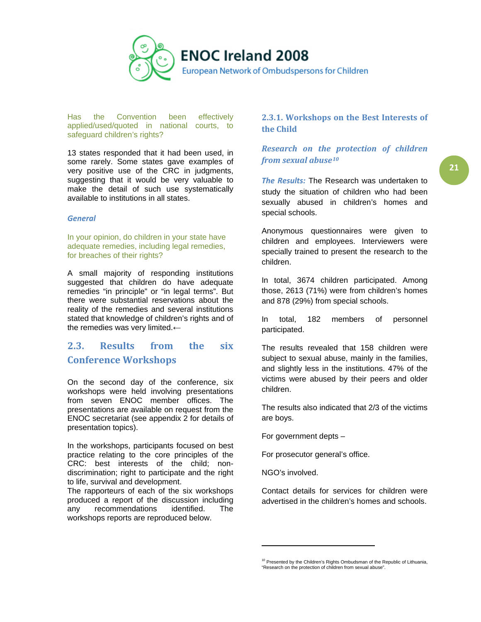

Has the Convention been effectively applied/used/quoted in national courts, to safeguard children's rights?

13 states responded that it had been used, in some rarely. Some states gave examples of very positive use of the CRC in judgments, suggesting that it would be very valuable to make the detail of such use systematically available to institutions in all states.

#### *General*

In your opinion, do children in your state have adequate remedies, including legal remedies, for breaches of their rights?

A small majority of responding institutions suggested that children do have adequate remedies "in principle" or "in legal terms". But there were substantial reservations about the reality of the remedies and several institutions stated that knowledge of children's rights and of the remedies was very limited.←

# <span id="page-20-0"></span>**2.3. Results from the six Conference Workshops**

On the second day of the conference, six workshops were held involving presentations from seven ENOC member offices. The presentations are available on request from the ENOC secretariat (see appendix 2 for details of presentation topics).

In the workshops, participants focused on best practice relating to the core principles of the CRC: best interests of the child; nondiscrimination; right to participate and the right to life, survival and development.

<span id="page-20-2"></span>The rapporteurs of each of the six workshops produced a report of the discussion including any recommendations identified. The workshops reports are reproduced below.

### <span id="page-20-1"></span>**2.3.1. Workshops on the Best Interests of the Child**

### *Research on the protection of children from sexual abuse[10](#page-20-2)*

The Results: The Research was undertaken to study the situation of children who had been sexually abused in children's homes and special schools.

Anonymous questionnaires were given to children and employees. Interviewers were specially trained to present the research to the children.

In total, 3674 children participated. Among those, 2613 (71%) were from children's homes and 878 (29%) from special schools.

In total, 182 members of personnel participated.

The results revealed that 158 children were subject to sexual abuse, mainly in the families, and slightly less in the institutions. 47% of the victims were abused by their peers and older children.

The results also indicated that 2/3 of the victims are boys.

For government depts –

For prosecutor general's office.

NGO's involved.

Contact details for services for children were advertised in the children's homes and schools.

<sup>&</sup>lt;sup>10</sup> Presented by the Children's Rights Ombudsman of the Republic of Lithuania, "Research on the protection of children from sexual abuse".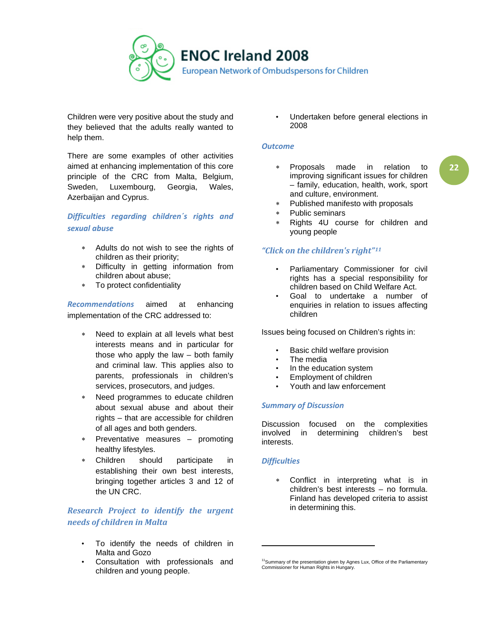

Children were very positive about the study and they believed that the adults really wanted to help them.

There are some examples of other activities aimed at enhancing implementation of this core principle of the CRC from Malta, Belgium, Sweden, Luxembourg, Georgia, Wales, Azerbaijan and Cyprus.

### *Difficulties regarding children´s rights and sexual abuse*

- ∗ Adults do not wish to see the rights of children as their priority;
- ∗ Difficulty in getting information from children about abuse;
- ∗ To protect confidentiality

*Recommendations* aimed at enhancing implementation of the CRC addressed to:

- Need to explain at all levels what best interests means and in particular for those who apply the law – both family and criminal law. This applies also to parents, professionals in children's services, prosecutors, and judges.
- ∗ Need programmes to educate children about sexual abuse and about their rights – that are accessible for children of all ages and both genders.
- ∗ Preventative measures promoting healthy lifestyles.
- Children should participate in establishing their own best interests, bringing together articles 3 and 12 of the UN CRC.

### *Research Project to identify the urgent needs of children in Malta*

- To identify the needs of children in Malta and Gozo
- <span id="page-21-0"></span>• Consultation with professionals and children and young people.

• Undertaken before general elections in 2008

### *Outcome*

- ∗ Proposals made in relation to improving significant issues for children – family, education, health, work, sport and culture, environment.
- ∗ Published manifesto with proposals
- ∗ Public seminars
- Rights 4U course for children and young people

### *"Click on the children's right"[11](#page-21-0)*

- Parliamentary Commissioner for civil rights has a special responsibility for children based on Child Welfare Act.
- Goal to undertake a number of enquiries in relation to issues affecting children

Issues being focused on Children's rights in:

- Basic child welfare provision
- The media
- In the education system
- Employment of children
- Youth and law enforcement

### *Summary of Discussion*

Discussion focused on the complexities involved in determining children's best interests.

### *Difficulties*

Conflict in interpreting what is in children's best interests – no formula. Finland has developed criteria to assist in determining this.

<sup>&</sup>lt;sup>11</sup> Summary of the presentation given by Agnes Lux, Office of the Parliamentary Commissioner for Human Rights in Hungary.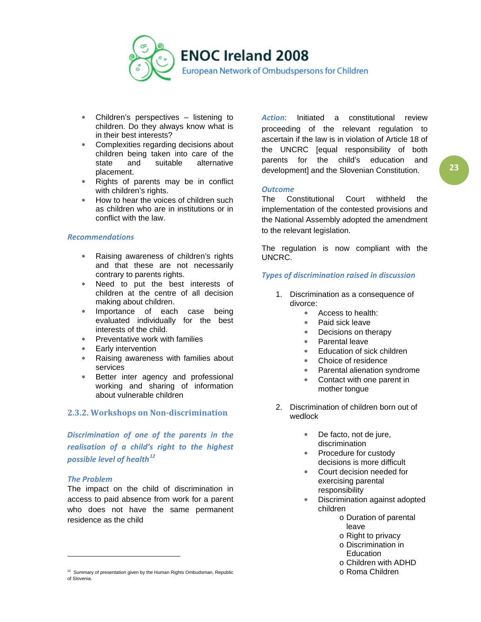

- ∗ Children's perspectives listening to children. Do they always know what is in their best interests?
- Complexities regarding decisions about children being taken into care of the<br>state and suitable alternative state and suitable alternative placement.
- ∗ Rights of parents may be in conflict with children's rights.
- ∗ How to hear the voices of children such as children who are in institutions or in conflict with the law.

#### *Recommendations*

- Raising awareness of children's rights and that these are not necessarily contrary to parents rights.
- ∗ Need to put the best interests of children at the centre of all decision making about children.
- ∗ Importance of each case being evaluated individually for the best interests of the child.
- Preventative work with families
- Early intervention
- Raising awareness with families about services
- Better inter agency and professional working and sharing of information about vulnerable children

### <span id="page-22-0"></span>**2.3.2. Workshops on Non-discrimination**

*Discrimination of one of the parents in the realisation of a child's right to the highest possible level of health[12](#page-22-1)*

### *The Problem*

l

The impact on the child of discrimination in access to paid absence from work for a parent who does not have the same permanent residence as the child

*Action*: Initiated a constitutional review proceeding of the relevant regulation to ascertain if the law is in violation of Article 18 of the UNCRC [equal responsibility of both parents for the child's education and development] and the Slovenian Constitution.

#### *Outcome*

The Constitutional Court withheld the implementation of the contested provisions and the National Assembly adopted the amendment to the relevant legislation.

The regulation is now compliant with the UNCRC.

### *Types of discrimination raised in discussion*

- 1. Discrimination as a consequence of divorce:
	- ∗ Access to health:
	- ∗ Paid sick leave
	- ∗ Decisions on therapy
	- Parental leave
	- ∗ Education of sick children
	- ∗ Choice of residence
	- ∗ Parental alienation syndrome
	- ∗ Contact with one parent in mother tongue
- 2. Discrimination of children born out of wedlock
	- ∗ De facto, not de jure, discrimination
	- ∗ Procedure for custody decisions is more difficult
	- ∗ Court decision needed for exercising parental responsibility
	- ∗ Discrimination against adopted children
		- o Duration of parental leave
		- o Right to privacy
		- o Discrimination in **Education**
		- o Children with ADHD
		- o Roma Children

<span id="page-22-1"></span><sup>&</sup>lt;sup>12</sup> Summary of presentation given by the Human Rights Ombudsman, Republic of Slovenia.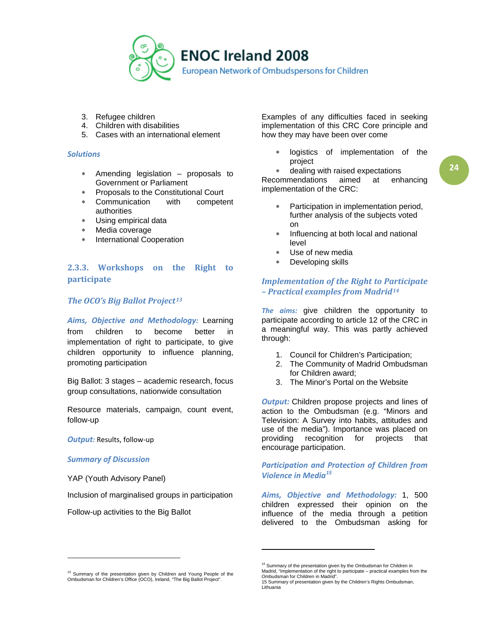

- 3. Refugee children
- 4. Children with disabilities
- 5. Cases with an international element

#### *Solutions*

- Amending legislation proposals to Government or Parliament
- ∗ Proposals to the Constitutional Court
- ∗ Communication with competent authorities
- ∗ Using empirical data
- Media coverage
- ∗ International Cooperation

### <span id="page-23-0"></span>**2.3.3. Workshops on the Right to participate**

### *The OCO's Big Ballot Project[13](#page-23-1)*

*Aims, Objective and Methodology:* Learning from children to become better in implementation of right to participate, to give children opportunity to influence planning, promoting participation

Big Ballot: 3 stages – academic research, focus group consultations, nationwide consultation

Resource materials, campaign, count event, follow-up

*Output:* Results, follow-up

#### *Summary of Discussion*

YAP (Youth Advisory Panel)

Inclusion of marginalised groups in participation

Follow-up activities to the Big Ballot

Examples of any difficulties faced in seeking implementation of this CRC Core principle and how they may have been over come

logistics of implementation of the project

dealing with raised expectations Recommendations aimed at enhancing implementation of the CRC:

- Participation in implementation period, further analysis of the subjects voted on
- Influencing at both local and national level
- Use of new media
- Developing skills

### *Implementation of the Right to Participate – Practical examples from Madrid[14](#page-23-2)*

*The aims:* give children the opportunity to participate according to article 12 of the CRC in a meaningful way. This was partly achieved through:

- 1. Council for Children's Participation;
- 2. The Community of Madrid Ombudsman for Children award;
- 3. The Minor's Portal on the Website

**Output:** Children propose projects and lines of action to the Ombudsman (e.g. "Minors and Television: A Survey into habits, attitudes and use of the media"). Importance was placed on providing recognition for projects that encourage participation.

*Participation and Protection of Children from Violence in Media[15](#page-23-3)*

*Aims, Objective and Methodology:* 1, 500 children expressed their opinion on the influence of the media through a petition delivered to the Ombudsman asking for

l

<span id="page-23-3"></span><span id="page-23-2"></span><span id="page-23-1"></span><sup>&</sup>lt;sup>13</sup> Summary of the presentation given by Children and Young People of the Ombudsman for Children's Office (OCO), Ireland, "The Big Ballot Project".

<sup>&</sup>lt;sup>14</sup> Summary of the presentation given by the Ombudsman for Children in Madrid, "Implementation of the right to participate – practical examples from the Ombudsman for Children in Madrid".

<sup>15</sup> Summary of presentation given by the Children's Rights Ombudsman, Lithuania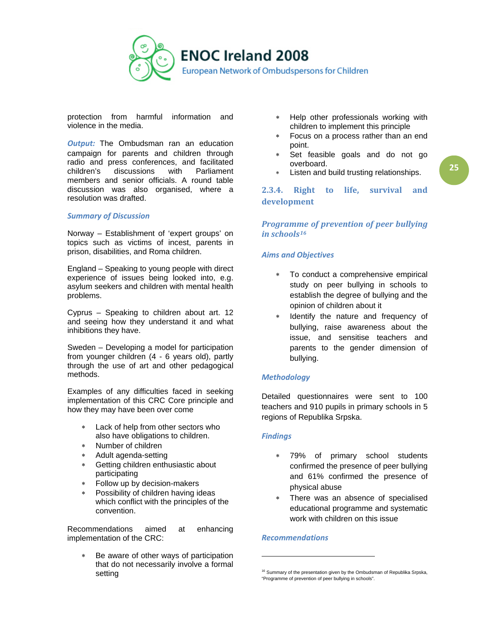

protection from harmful information and violence in the media.

*Output:* The Ombudsman ran an education campaign for parents and children through radio and press conferences, and facilitated<br>children's discussions with Parliament discussions members and senior officials. A round table discussion was also organised, where a resolution was drafted.

### *Summary of Discussion*

Norway – Establishment of 'expert groups' on topics such as victims of incest, parents in prison, disabilities, and Roma children.

England – Speaking to young people with direct experience of issues being looked into, e.g. asylum seekers and children with mental health problems.

Cyprus – Speaking to children about art. 12 and seeing how they understand it and what inhibitions they have.

Sweden – Developing a model for participation from younger children (4 - 6 years old), partly through the use of art and other pedagogical methods.

Examples of any difficulties faced in seeking implementation of this CRC Core principle and how they may have been over come

- ∗ Lack of help from other sectors who also have obligations to children.
- Number of children
- ∗ Adult agenda-setting
- ∗ Getting children enthusiastic about participating
- Follow up by decision-makers
- ∗ Possibility of children having ideas which conflict with the principles of the convention.

<span id="page-24-1"></span>Recommendations aimed at enhancing implementation of the CRC:

Be aware of other ways of participation that do not necessarily involve a formal setting

- Help other professionals working with children to implement this principle
- ∗ Focus on a process rather than an end point.
- Set feasible goals and do not go overboard.
- Listen and build trusting relationships.

<span id="page-24-0"></span>**2.3.4. Right to life, survival and development**

### *Programme of prevention of peer bullying in schools[16](#page-24-1)*

### *Aims and Objectives*

- ∗ To conduct a comprehensive empirical study on peer bullying in schools to establish the degree of bullying and the opinion of children about it
- Identify the nature and frequency of bullying, raise awareness about the issue, and sensitise teachers and parents to the gender dimension of bullying.

### *Methodology*

Detailed questionnaires were sent to 100 teachers and 910 pupils in primary schools in 5 regions of Republika Srpska.

### *Findings*

- 79% of primary school students confirmed the presence of peer bullying and 61% confirmed the presence of physical abuse
- ∗ There was an absence of specialised educational programme and systematic work with children on this issue

#### *Recommendations*

l

<sup>&</sup>lt;sup>16</sup> Summary of the presentation given by the Ombudsman of Republika Srpska, "Programme of prevention of peer bullying in schools".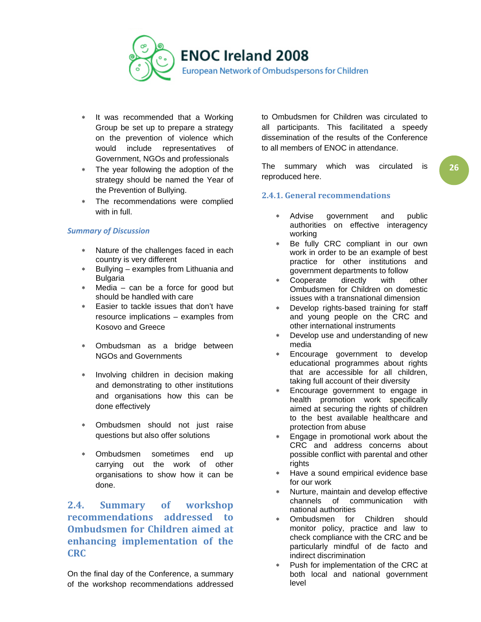

- ∗ It was recommended that a Working Group be set up to prepare a strategy on the prevention of violence which would include representatives of Government, NGOs and professionals
- The year following the adoption of the strategy should be named the Year of the Prevention of Bullying.
- The recommendations were complied with in full.

### *Summary of Discussion*

- Nature of the challenges faced in each country is very different
- ∗ Bullying examples from Lithuania and **Bulgaria**
- ∗ Media can be a force for good but should be handled with care
- Easier to tackle issues that don't have resource implications – examples from Kosovo and Greece
- ∗ Ombudsman as a bridge between NGOs and Governments
- ∗ Involving children in decision making and demonstrating to other institutions and organisations how this can be done effectively
- Ombudsmen should not just raise questions but also offer solutions
- Ombudsmen sometimes end up carrying out the work of other organisations to show how it can be done.

<span id="page-25-0"></span>**2.4. Summary of workshop recommendations addressed to Ombudsmen for Children aimed at enhancing implementation of the CRC** 

On the final day of the Conference, a summary of the workshop recommendations addressed to Ombudsmen for Children was circulated to all participants. This facilitated a speedy dissemination of the results of the Conference to all members of ENOC in attendance.

The summary which was circulated is reproduced here.

### <span id="page-25-1"></span>**2.4.1. General recommendations**

- Advise government and public authorities on effective interagency working
- Be fully CRC compliant in our own work in order to be an example of best practice for other institutions and government departments to follow
- Cooperate directly with other Ombudsmen for Children on domestic issues with a transnational dimension
- ∗ Develop rights-based training for staff and young people on the CRC and other international instruments
- ∗ Develop use and understanding of new media
- Encourage government to develop educational programmes about rights that are accessible for all children, taking full account of their diversity
- Encourage government to engage in health promotion work specifically aimed at securing the rights of children to the best available healthcare and protection from abuse
- Engage in promotional work about the CRC and address concerns about possible conflict with parental and other rights
- ∗ Have a sound empirical evidence base for our work
- Nurture, maintain and develop effective channels of communication with national authorities
- Ombudsmen for Children should monitor policy, practice and law to check compliance with the CRC and be particularly mindful of de facto and indirect discrimination
- Push for implementation of the CRC at both local and national government level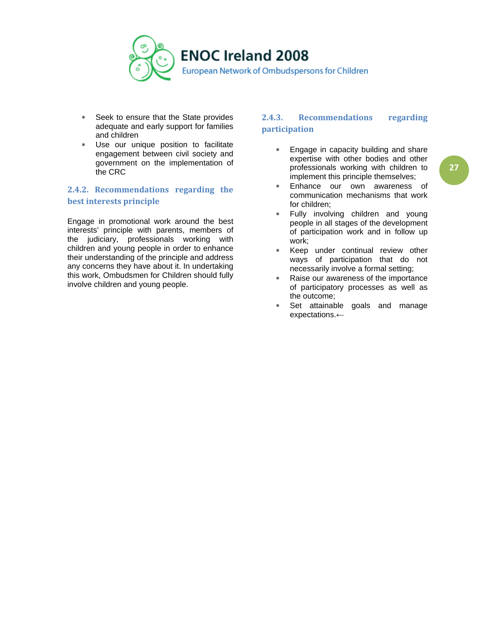

- ∗ Seek to ensure that the State provides adequate and early support for families and children
- Use our unique position to facilitate engagement between civil society and government on the implementation of the CRC

### <span id="page-26-0"></span>**2.4.2. Recommendations regarding the best interests principle**

Engage in promotional work around the best interests' principle with parents, members of the judiciary, professionals working with children and young people in order to enhance their understanding of the principle and address any concerns they have about it. In undertaking this work, Ombudsmen for Children should fully involve children and young people.

### <span id="page-26-1"></span>**2.4.3. Recommendations regarding participation**

- ∗ Engage in capacity building and share expertise with other bodies and other professionals working with children to implement this principle themselves;
- Enhance our own awareness of communication mechanisms that work for children;
- Fully involving children and young people in all stages of the development of participation work and in follow up work;
- Keep under continual review other ways of participation that do not necessarily involve a formal setting;
- ∗ Raise our awareness of the importance of participatory processes as well as the outcome;
- ∗ Set attainable goals and manage expectations.←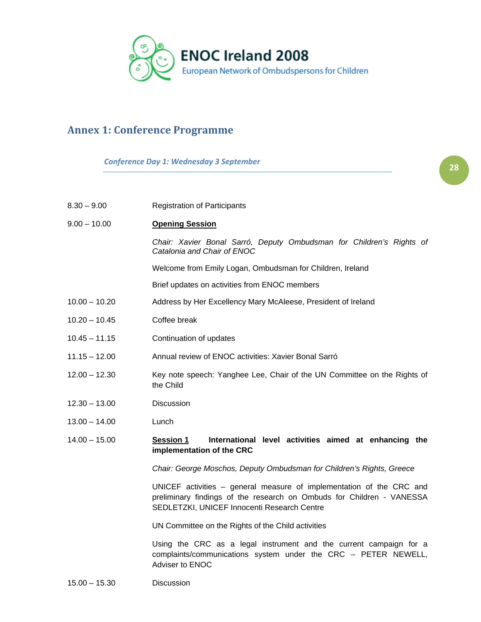

**2828**

# <span id="page-27-0"></span>**Annex 1: Conference Programme**

*Conference Day 1: Wednesday 3 September*

| $8.30 - 9.00$   | <b>Registration of Participants</b>                                                                                                                                                          |  |  |
|-----------------|----------------------------------------------------------------------------------------------------------------------------------------------------------------------------------------------|--|--|
| $9.00 - 10.00$  | <b>Opening Session</b>                                                                                                                                                                       |  |  |
|                 | Chair: Xavier Bonal Sarró, Deputy Ombudsman for Children's Rights of<br>Catalonia and Chair of ENOC                                                                                          |  |  |
|                 | Welcome from Emily Logan, Ombudsman for Children, Ireland                                                                                                                                    |  |  |
|                 | Brief updates on activities from ENOC members                                                                                                                                                |  |  |
| $10.00 - 10.20$ | Address by Her Excellency Mary McAleese, President of Ireland                                                                                                                                |  |  |
| $10.20 - 10.45$ | Coffee break                                                                                                                                                                                 |  |  |
| $10.45 - 11.15$ | Continuation of updates                                                                                                                                                                      |  |  |
| $11.15 - 12.00$ | Annual review of ENOC activities: Xavier Bonal Sarró                                                                                                                                         |  |  |
| $12.00 - 12.30$ | Key note speech: Yanghee Lee, Chair of the UN Committee on the Rights of<br>the Child                                                                                                        |  |  |
| $12.30 - 13.00$ | Discussion                                                                                                                                                                                   |  |  |
| $13.00 - 14.00$ | Lunch                                                                                                                                                                                        |  |  |
| $14.00 - 15.00$ | International level activities aimed at enhancing the<br><b>Session 1</b><br>implementation of the CRC                                                                                       |  |  |
|                 | Chair: George Moschos, Deputy Ombudsman for Children's Rights, Greece                                                                                                                        |  |  |
|                 | UNICEF activities – general measure of implementation of the CRC and<br>preliminary findings of the research on Ombuds for Children - VANESSA<br>SEDLETZKI, UNICEF Innocenti Research Centre |  |  |
|                 | UN Committee on the Rights of the Child activities                                                                                                                                           |  |  |
|                 | Using the CRC as a legal instrument and the current campaign for a<br>complaints/communications system under the CRC - PETER NEWELL,<br>Adviser to ENOC                                      |  |  |
| $15.00 - 15.30$ | Discussion                                                                                                                                                                                   |  |  |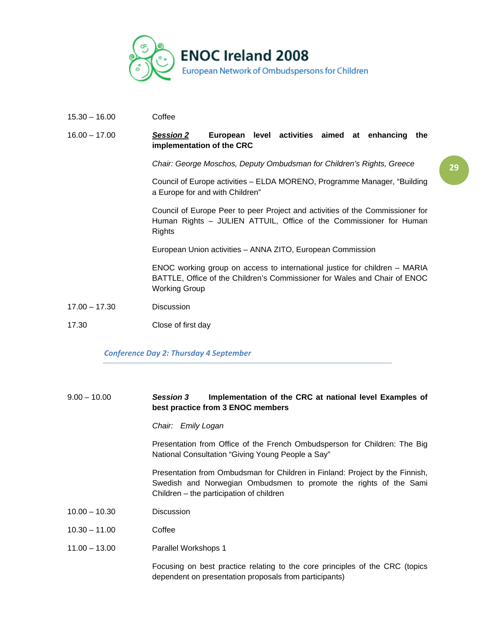

15.30 – 16.00 Coffee

#### 16.00 – 17.00 *Session 2* **European level activities aimed at enhancing the implementation of the CRC**

*Chair: George Moschos, Deputy Ombudsman for Children's Rights, Greece*

Council of Europe activities – ELDA MORENO, Programme Manager, "Building a Europe for and with Children"

Council of Europe Peer to peer Project and activities of the Commissioner for Human Rights – JULIEN ATTUIL, Office of the Commissioner for Human **Rights** 

European Union activities – ANNA ZITO, European Commission

ENOC working group on access to international justice for children – MARIA BATTLE, Office of the Children's Commissioner for Wales and Chair of ENOC Working Group

- 17.00 17.30 Discussion
- 17.30 Close of first day

#### *Conference Day 2: Thursday 4 September*

### 9.00 – 10.00 *Session 3* **Implementation of the CRC at national level Examples of best practice from 3 ENOC members**

*Chair: Emily Logan* 

Presentation from Office of the French Ombudsperson for Children: The Big National Consultation "Giving Young People a Say"

Presentation from Ombudsman for Children in Finland: Project by the Finnish, Swedish and Norwegian Ombudsmen to promote the rights of the Sami Children – the participation of children

- 10.00 10.30 Discussion
- 10.30 11.00 Coffee
- 11.00 13.00 Parallel Workshops 1

Focusing on best practice relating to the core principles of the CRC (topics dependent on presentation proposals from participants)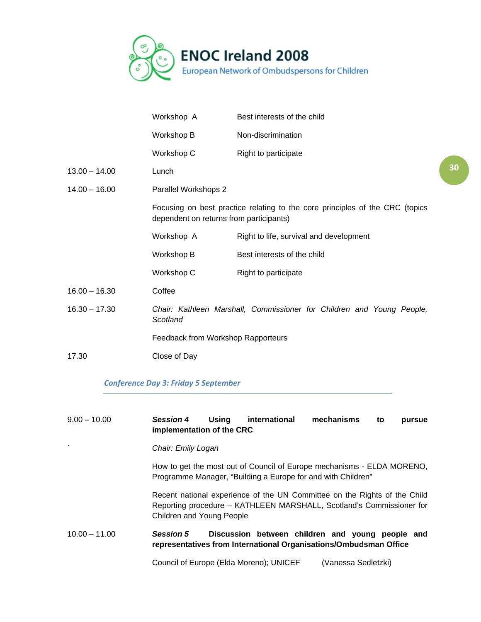

|                 | Workshop A                                                                                                                                      | Best interests of the child             |  |
|-----------------|-------------------------------------------------------------------------------------------------------------------------------------------------|-----------------------------------------|--|
|                 | Workshop B                                                                                                                                      | Non-discrimination                      |  |
|                 | Workshop C                                                                                                                                      | Right to participate                    |  |
| $13.00 - 14.00$ | Lunch                                                                                                                                           |                                         |  |
| $14.00 - 16.00$ | Parallel Workshops 2<br>Focusing on best practice relating to the core principles of the CRC (topics<br>dependent on returns from participants) |                                         |  |
|                 |                                                                                                                                                 |                                         |  |
|                 | Workshop A                                                                                                                                      | Right to life, survival and development |  |
|                 | Workshop B                                                                                                                                      | Best interests of the child             |  |
|                 | Workshop C                                                                                                                                      | Right to participate                    |  |
| $16.00 - 16.30$ | Coffee                                                                                                                                          |                                         |  |
| $16.30 - 17.30$ | Chair: Kathleen Marshall, Commissioner for Children and Young People,<br>Scotland                                                               |                                         |  |
|                 | Feedback from Workshop Rapporteurs                                                                                                              |                                         |  |
| 17.30           | Close of Day                                                                                                                                    |                                         |  |
|                 |                                                                                                                                                 |                                         |  |

**3030**

### *Conference Day 3: Friday 5 September*

### 9.00 – 10.00 *Session 4* **Using international mechanisms to pursue implementation of the CRC**

### *` Chair: Emily Logan*

How to get the most out of Council of Europe mechanisms - ELDA MORENO, Programme Manager, "Building a Europe for and with Children"

Recent national experience of the UN Committee on the Rights of the Child Reporting procedure – KATHLEEN MARSHALL, Scotland's Commissioner for Children and Young People

### 10.00 – 11.00 *Session 5* **Discussion between children and young people and representatives from International Organisations/Ombudsman Office**

Council of Europe (Elda Moreno); UNICEF (Vanessa Sedletzki)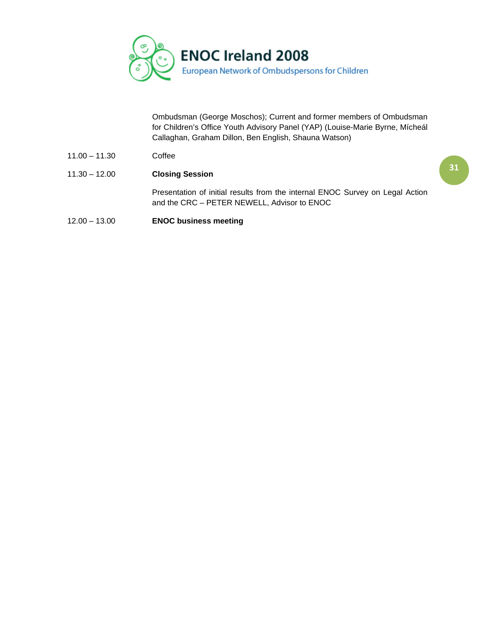

Ombudsman (George Moschos); Current and former members of Ombudsman for Children's Office Youth Advisory Panel (YAP) (Louise-Marie Byrne, Mícheál Callaghan, Graham Dillon, Ben English, Shauna Watson)

- 11.00 11.30 Coffee
- 11.30 12.00 **Closing Session**  Presentation of initial results from the internal ENOC Survey on Legal Action and the CRC – PETER NEWELL, Advisor to ENOC
- 12.00 13.00 **ENOC business meeting**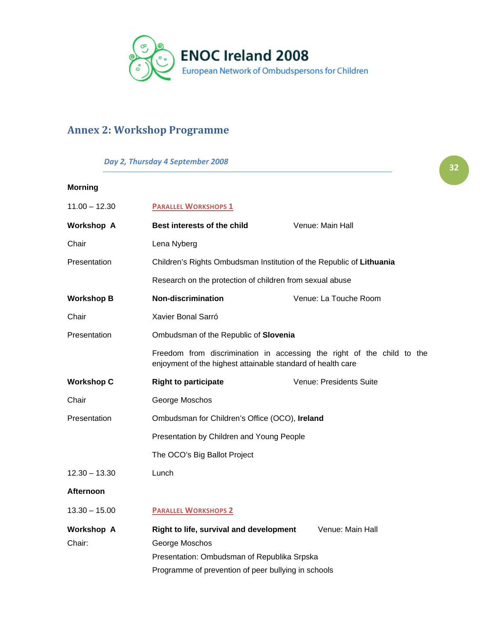

# <span id="page-31-0"></span>**Annex 2: Workshop Programme**

### *Day 2, Thursday 4 September 2008*

| $11.00 - 12.30$             | <b>PARALLEL WORKSHOPS 1</b>                                                                                                           |                                                                      |  |  |
|-----------------------------|---------------------------------------------------------------------------------------------------------------------------------------|----------------------------------------------------------------------|--|--|
| <b>Workshop A</b>           | Best interests of the child                                                                                                           | Venue: Main Hall                                                     |  |  |
| Chair                       | Lena Nyberg                                                                                                                           |                                                                      |  |  |
| Presentation                |                                                                                                                                       | Children's Rights Ombudsman Institution of the Republic of Lithuania |  |  |
|                             | Research on the protection of children from sexual abuse                                                                              |                                                                      |  |  |
| <b>Workshop B</b>           | <b>Non-discrimination</b>                                                                                                             | Venue: La Touche Room                                                |  |  |
| Chair                       | Xavier Bonal Sarró                                                                                                                    |                                                                      |  |  |
| Presentation                | Ombudsman of the Republic of Slovenia                                                                                                 |                                                                      |  |  |
|                             | Freedom from discrimination in accessing the right of the child to the<br>enjoyment of the highest attainable standard of health care |                                                                      |  |  |
| <b>Workshop C</b>           | <b>Right to participate</b>                                                                                                           | Venue: Presidents Suite                                              |  |  |
| Chair                       | George Moschos                                                                                                                        |                                                                      |  |  |
| Presentation                | Ombudsman for Children's Office (OCO), Ireland                                                                                        |                                                                      |  |  |
|                             | Presentation by Children and Young People                                                                                             |                                                                      |  |  |
|                             | The OCO's Big Ballot Project                                                                                                          |                                                                      |  |  |
| $12.30 - 13.30$             | Lunch                                                                                                                                 |                                                                      |  |  |
| Afternoon                   |                                                                                                                                       |                                                                      |  |  |
| $13.30 - 15.00$             | <b>PARALLEL WORKSHOPS 2</b>                                                                                                           |                                                                      |  |  |
| <b>Workshop A</b><br>Chair: | Right to life, survival and development<br>George Moschos                                                                             | Venue: Main Hall                                                     |  |  |
|                             | Presentation: Ombudsman of Republika Srpska                                                                                           |                                                                      |  |  |
|                             | Programme of prevention of peer bullying in schools                                                                                   |                                                                      |  |  |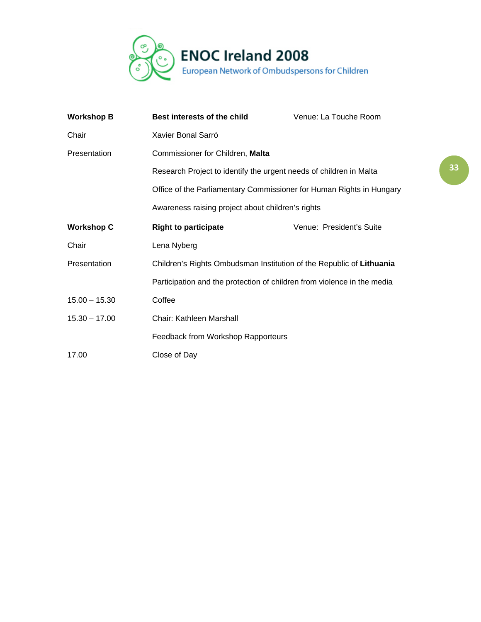

| <b>Workshop B</b> | <b>Best interests of the child</b>                                                                                        | Venue: La Touche Room    |  |
|-------------------|---------------------------------------------------------------------------------------------------------------------------|--------------------------|--|
| Chair             | Xavier Bonal Sarró                                                                                                        |                          |  |
| Presentation      | Commissioner for Children, Malta                                                                                          |                          |  |
|                   | Research Project to identify the urgent needs of children in Malta                                                        |                          |  |
|                   | Office of the Parliamentary Commissioner for Human Rights in Hungary<br>Awareness raising project about children's rights |                          |  |
|                   |                                                                                                                           |                          |  |
| <b>Workshop C</b> | <b>Right to participate</b>                                                                                               | Venue: President's Suite |  |
| Chair             | Lena Nyberg                                                                                                               |                          |  |
| Presentation      | Children's Rights Ombudsman Institution of the Republic of Lithuania                                                      |                          |  |
|                   | Participation and the protection of children from violence in the media                                                   |                          |  |
| $15.00 - 15.30$   | Coffee                                                                                                                    |                          |  |
| $15.30 - 17.00$   | Chair: Kathleen Marshall                                                                                                  |                          |  |
|                   | Feedback from Workshop Rapporteurs                                                                                        |                          |  |
| 17.00             | Close of Day                                                                                                              |                          |  |